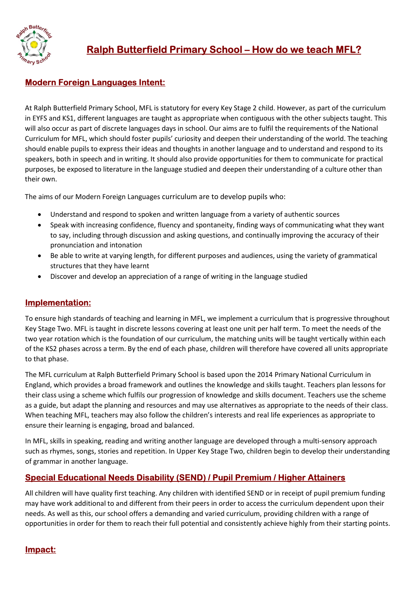

## Modern Foreign Languages Intent:

At Ralph Butterfield Primary School, MFL is statutory for every Key Stage 2 child. However, as part of the curriculum in EYFS and KS1, different languages are taught as appropriate when contiguous with the other subjects taught. This will also occur as part of discrete languages days in school. Our aims are to fulfil the requirements of the National Curriculum for MFL, which should foster pupils' curiosity and deepen their understanding of the world. The teaching should enable pupils to express their ideas and thoughts in another language and to understand and respond to its speakers, both in speech and in writing. It should also provide opportunities for them to communicate for practical purposes, be exposed to literature in the language studied and deepen their understanding of a culture other than their own.

The aims of our Modern Foreign Languages curriculum are to develop pupils who:

- Understand and respond to spoken and written language from a variety of authentic sources
- Speak with increasing confidence, fluency and spontaneity, finding ways of communicating what they want to say, including through discussion and asking questions, and continually improving the accuracy of their pronunciation and intonation
- Be able to write at varying length, for different purposes and audiences, using the variety of grammatical structures that they have learnt
- Discover and develop an appreciation of a range of writing in the language studied

## Implementation:

To ensure high standards of teaching and learning in MFL, we implement a curriculum that is progressive throughout Key Stage Two. MFL is taught in discrete lessons covering at least one unit per half term. To meet the needs of the two year rotation which is the foundation of our curriculum, the matching units will be taught vertically within each of the KS2 phases across a term. By the end of each phase, children will therefore have covered all units appropriate to that phase.

The MFL curriculum at Ralph Butterfield Primary School is based upon the 2014 Primary National Curriculum in England, which provides a broad framework and outlines the knowledge and skills taught. Teachers plan lessons for their class using a scheme which fulfils our progression of knowledge and skills document. Teachers use the scheme as a guide, but adapt the planning and resources and may use alternatives as appropriate to the needs of their class. When teaching MFL, teachers may also follow the children's interests and real life experiences as appropriate to ensure their learning is engaging, broad and balanced.

In MFL, skills in speaking, reading and writing another language are developed through a multi-sensory approach such as rhymes, songs, stories and repetition. In Upper Key Stage Two, children begin to develop their understanding of grammar in another language.

## Special Educational Needs Disability (SEND) / Pupil Premium / Higher Attainers

All children will have quality first teaching. Any children with identified SEND or in receipt of pupil premium funding may have work additional to and different from their peers in order to access the curriculum dependent upon their needs. As well as this, our school offers a demanding and varied curriculum, providing children with a range of opportunities in order for them to reach their full potential and consistently achieve highly from their starting points.

## Impact: